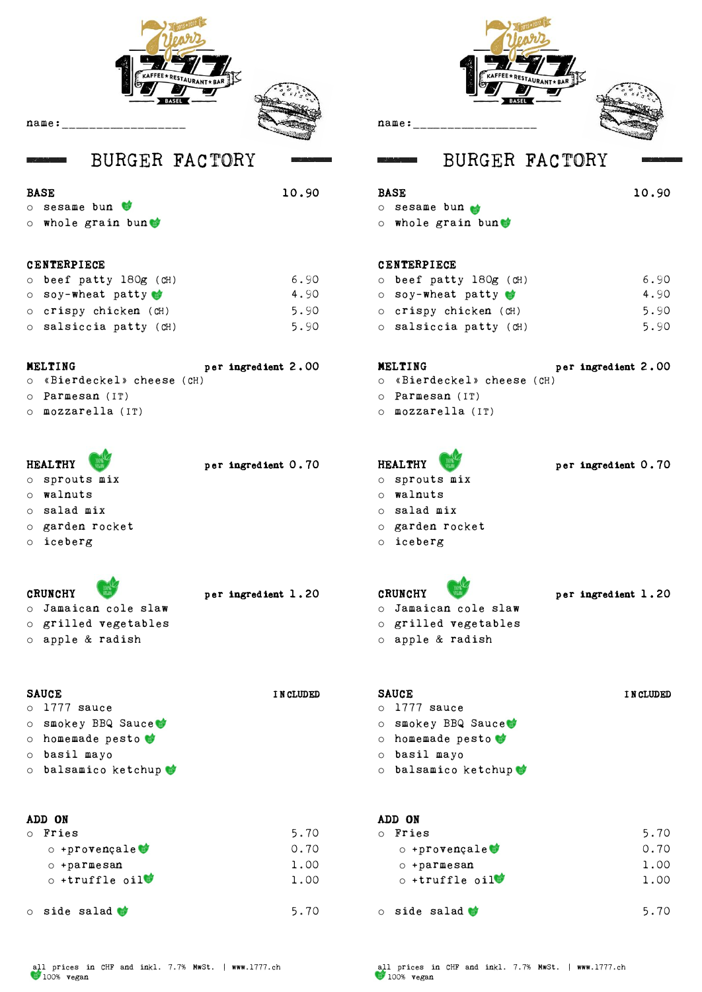

name:\_\_\_\_\_\_\_\_\_\_\_\_\_\_\_\_\_\_

## BURGER FACTORY BURGER FACTORY

### BASE 10.90

wing a strong

o sesame bun

o whole grain bun

### CENTERPIECE

| $\circ$ beef patty 180g (CH) | 6.90 |
|------------------------------|------|
| $\circ$ soy-wheat patty      | 4.90 |
| o crispy chicken (CH)        | 5.90 |
| o salsiccia patty (CH)       | 5.90 |

### MELTING per ingredient 2.00

- o «Bierdeckel» cheese (CH)
- o Parmesan (IT)
- o mozzarella (IT)

## HEALTHY per ingredient 0.70

- o sprouts mix
- o walnuts
- o salad mix
- o garden rocket
- o iceberg

## CRUNCHY per ingredient 1.20

o Jamaican cole slaw o grilled vegetables

o apple & radish

### SAUCE INCLUDED

- o 1777 sauce
- o smokey BBQ Sauce
- o homemade pesto
- o basil mayo
- o balsamico ketchup

### ADD ON

| $\circ$ | Fries                         | 5.70 |
|---------|-------------------------------|------|
|         | $\circ$ +provençale $\bullet$ | 0.70 |
|         | $\circ$ +parmesan             | 1.00 |
|         | $\circ$ +truffle $\circ$ il   | 1.00 |
| $\circ$ | side salad <b>of</b>          |      |

```
name:
```
### BASE 10.90 o sesame bun o whole grain bun

### CENTERPIECE

| $\circ$ beef patty 180g (CH) | 6.90 |
|------------------------------|------|
| $\circ$ soy-wheat patty      | 4.90 |
| $\circ$ crispy chicken (CH)  | 5.90 |
| $\circ$ salsiccia patty (CH) | 5.90 |

### MELTING per ingredient 2.00

- o «Bierdeckel» cheese (CH)
- o Parmesan (IT)
- o mozzarella (IT)

# HEALTHY per ingredient 0.70

- o sprouts mix
- o walnuts
- o salad mix
- o garden rocket
- o iceberg

CRUNCHY per ingredient 1.20 o Jamaican cole slaw o grilled vegetables

- 
- o apple & radish

### SAUCE INCLUDED

- o 1777 sauce
- o smokey BBQ Sauce
- o homemade pesto
- o basil mayo
- o balsamico ketchup

### ADD ON

| $\Omega$ | Fries                             | 5.70 |
|----------|-----------------------------------|------|
|          | $\circ$ +provençale $\bullet$     | 0.70 |
|          | $\circ$ +parmesan                 | 1.00 |
|          | $\circ$ +truffle oil <sup>®</sup> | 1.00 |
|          |                                   |      |
|          | $\circ$ side salad $\bullet$      | 5.70 |